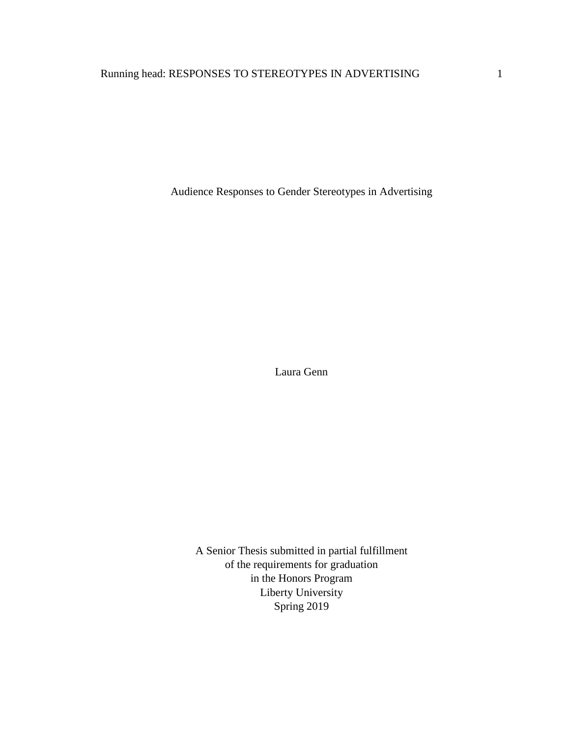Audience Responses to Gender Stereotypes in Advertising

Laura Genn

A Senior Thesis submitted in partial fulfillment of the requirements for graduation in the Honors Program Liberty University Spring 2019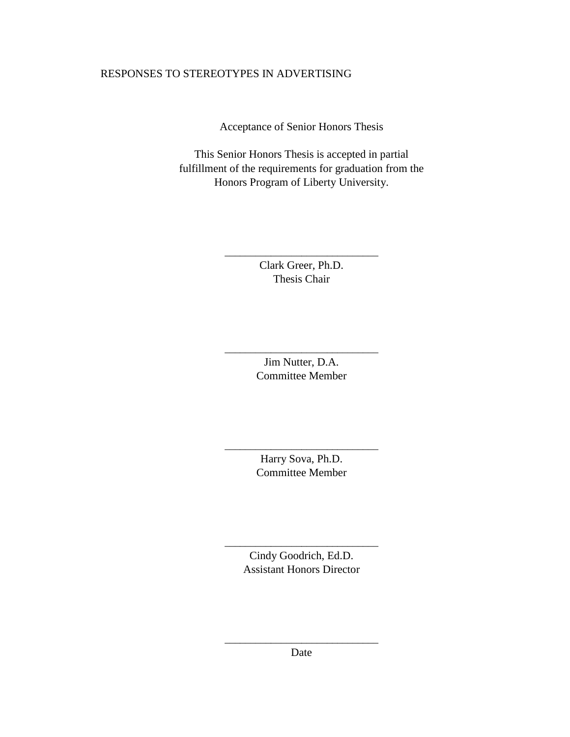Acceptance of Senior Honors Thesis

This Senior Honors Thesis is accepted in partial fulfillment of the requirements for graduation from the Honors Program of Liberty University.

> Clark Greer, Ph.D. Thesis Chair

\_\_\_\_\_\_\_\_\_\_\_\_\_\_\_\_\_\_\_\_\_\_\_\_\_\_\_\_\_\_

Jim Nutter, D.A. Committee Member

\_\_\_\_\_\_\_\_\_\_\_\_\_\_\_\_\_\_\_\_\_\_\_\_\_\_\_\_\_\_

Harry Sova, Ph.D. Committee Member

\_\_\_\_\_\_\_\_\_\_\_\_\_\_\_\_\_\_\_\_\_\_\_\_\_\_\_\_\_\_

Cindy Goodrich, Ed.D. Assistant Honors Director

\_\_\_\_\_\_\_\_\_\_\_\_\_\_\_\_\_\_\_\_\_\_\_\_\_\_\_\_\_\_

\_\_\_\_\_\_\_\_\_\_\_\_\_\_\_\_\_\_\_\_\_\_\_\_\_\_\_\_\_\_ Date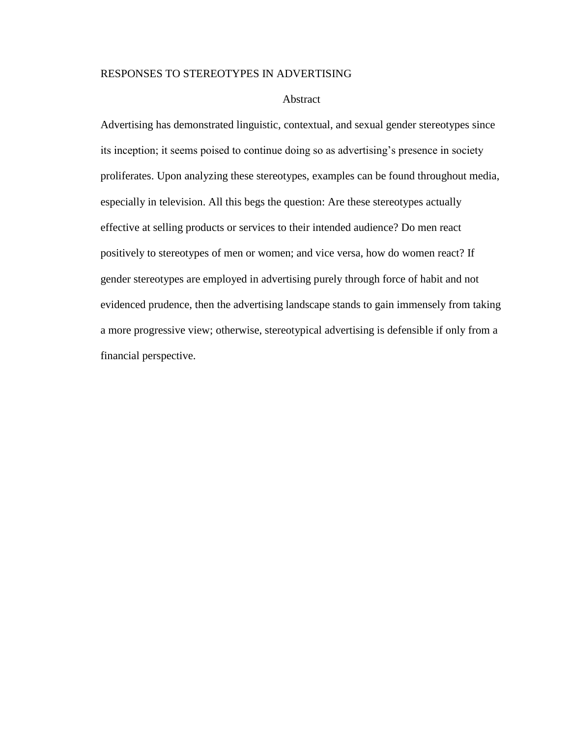#### Abstract

Advertising has demonstrated linguistic, contextual, and sexual gender stereotypes since its inception; it seems poised to continue doing so as advertising's presence in society proliferates. Upon analyzing these stereotypes, examples can be found throughout media, especially in television. All this begs the question: Are these stereotypes actually effective at selling products or services to their intended audience? Do men react positively to stereotypes of men or women; and vice versa, how do women react? If gender stereotypes are employed in advertising purely through force of habit and not evidenced prudence, then the advertising landscape stands to gain immensely from taking a more progressive view; otherwise, stereotypical advertising is defensible if only from a financial perspective.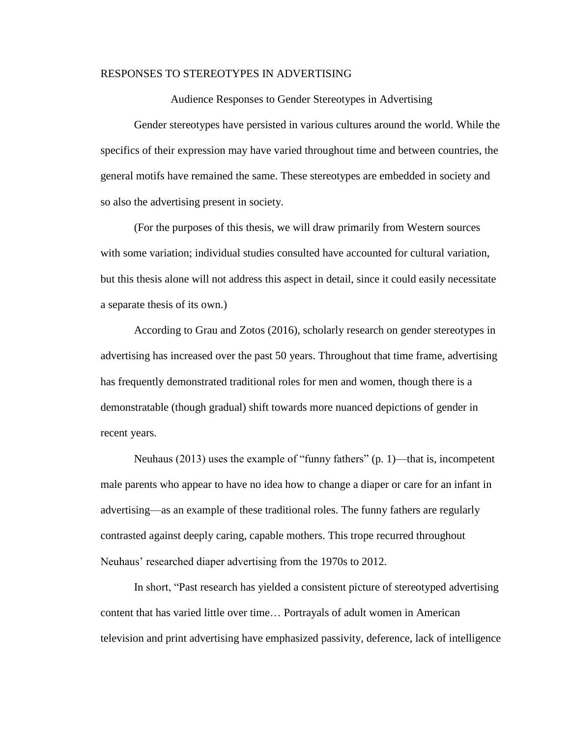Audience Responses to Gender Stereotypes in Advertising

Gender stereotypes have persisted in various cultures around the world. While the specifics of their expression may have varied throughout time and between countries, the general motifs have remained the same. These stereotypes are embedded in society and so also the advertising present in society.

(For the purposes of this thesis, we will draw primarily from Western sources with some variation; individual studies consulted have accounted for cultural variation, but this thesis alone will not address this aspect in detail, since it could easily necessitate a separate thesis of its own.)

According to Grau and Zotos (2016), scholarly research on gender stereotypes in advertising has increased over the past 50 years. Throughout that time frame, advertising has frequently demonstrated traditional roles for men and women, though there is a demonstratable (though gradual) shift towards more nuanced depictions of gender in recent years.

Neuhaus (2013) uses the example of "funny fathers" (p. 1)—that is, incompetent male parents who appear to have no idea how to change a diaper or care for an infant in advertising—as an example of these traditional roles. The funny fathers are regularly contrasted against deeply caring, capable mothers. This trope recurred throughout Neuhaus' researched diaper advertising from the 1970s to 2012.

In short, "Past research has yielded a consistent picture of stereotyped advertising content that has varied little over time… Portrayals of adult women in American television and print advertising have emphasized passivity, deference, lack of intelligence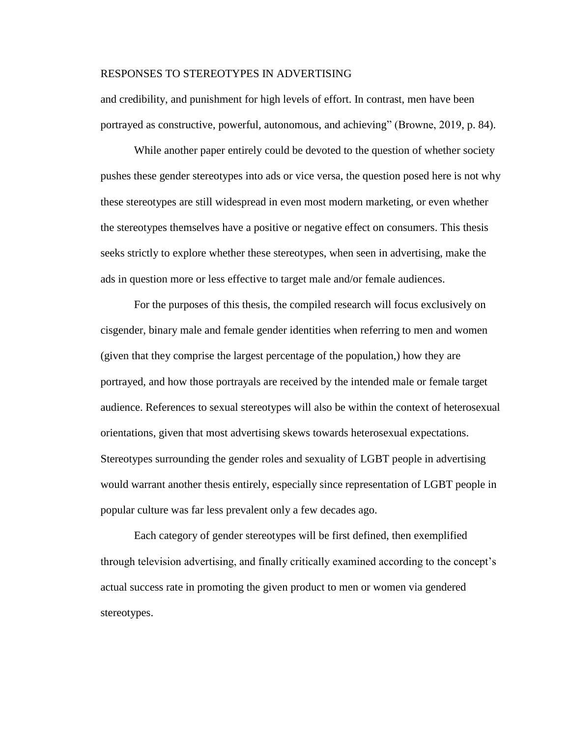and credibility, and punishment for high levels of effort. In contrast, men have been portrayed as constructive, powerful, autonomous, and achieving" (Browne, 2019, p. 84).

While another paper entirely could be devoted to the question of whether society pushes these gender stereotypes into ads or vice versa, the question posed here is not why these stereotypes are still widespread in even most modern marketing, or even whether the stereotypes themselves have a positive or negative effect on consumers. This thesis seeks strictly to explore whether these stereotypes, when seen in advertising, make the ads in question more or less effective to target male and/or female audiences.

For the purposes of this thesis, the compiled research will focus exclusively on cisgender, binary male and female gender identities when referring to men and women (given that they comprise the largest percentage of the population,) how they are portrayed, and how those portrayals are received by the intended male or female target audience. References to sexual stereotypes will also be within the context of heterosexual orientations, given that most advertising skews towards heterosexual expectations. Stereotypes surrounding the gender roles and sexuality of LGBT people in advertising would warrant another thesis entirely, especially since representation of LGBT people in popular culture was far less prevalent only a few decades ago.

Each category of gender stereotypes will be first defined, then exemplified through television advertising, and finally critically examined according to the concept's actual success rate in promoting the given product to men or women via gendered stereotypes.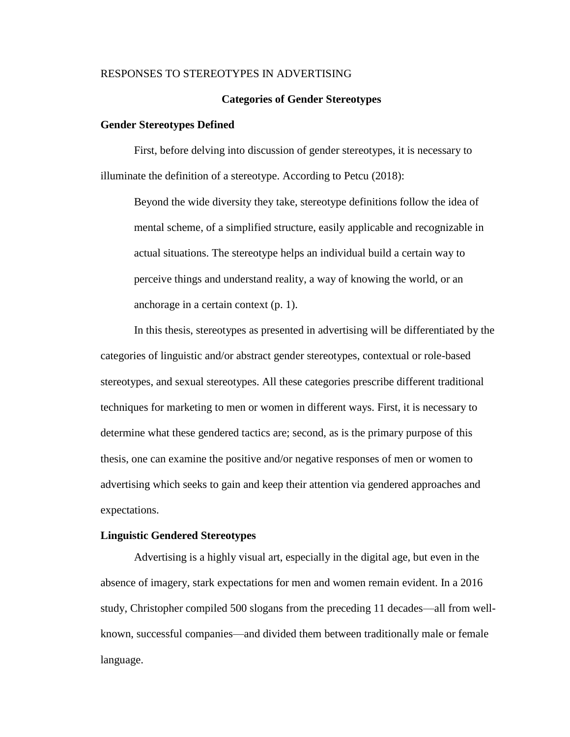#### **Categories of Gender Stereotypes**

#### **Gender Stereotypes Defined**

First, before delving into discussion of gender stereotypes, it is necessary to illuminate the definition of a stereotype. According to Petcu (2018):

Beyond the wide diversity they take, stereotype definitions follow the idea of mental scheme, of a simplified structure, easily applicable and recognizable in actual situations. The stereotype helps an individual build a certain way to perceive things and understand reality, a way of knowing the world, or an anchorage in a certain context (p. 1).

In this thesis, stereotypes as presented in advertising will be differentiated by the categories of linguistic and/or abstract gender stereotypes, contextual or role-based stereotypes, and sexual stereotypes. All these categories prescribe different traditional techniques for marketing to men or women in different ways. First, it is necessary to determine what these gendered tactics are; second, as is the primary purpose of this thesis, one can examine the positive and/or negative responses of men or women to advertising which seeks to gain and keep their attention via gendered approaches and expectations.

#### **Linguistic Gendered Stereotypes**

Advertising is a highly visual art, especially in the digital age, but even in the absence of imagery, stark expectations for men and women remain evident. In a 2016 study, Christopher compiled 500 slogans from the preceding 11 decades—all from wellknown, successful companies—and divided them between traditionally male or female language.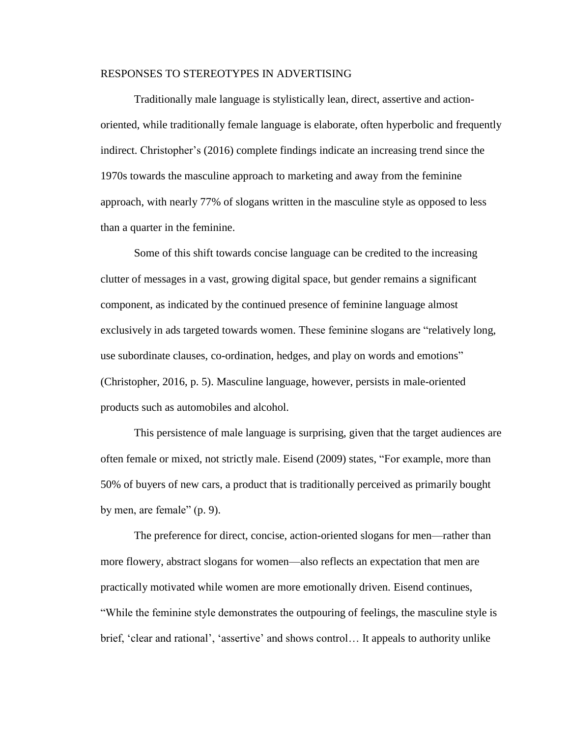Traditionally male language is stylistically lean, direct, assertive and actionoriented, while traditionally female language is elaborate, often hyperbolic and frequently indirect. Christopher's (2016) complete findings indicate an increasing trend since the 1970s towards the masculine approach to marketing and away from the feminine approach, with nearly 77% of slogans written in the masculine style as opposed to less than a quarter in the feminine.

Some of this shift towards concise language can be credited to the increasing clutter of messages in a vast, growing digital space, but gender remains a significant component, as indicated by the continued presence of feminine language almost exclusively in ads targeted towards women. These feminine slogans are "relatively long, use subordinate clauses, co-ordination, hedges, and play on words and emotions" (Christopher, 2016, p. 5). Masculine language, however, persists in male-oriented products such as automobiles and alcohol.

This persistence of male language is surprising, given that the target audiences are often female or mixed, not strictly male. Eisend (2009) states, "For example, more than 50% of buyers of new cars, a product that is traditionally perceived as primarily bought by men, are female" (p. 9).

The preference for direct, concise, action-oriented slogans for men—rather than more flowery, abstract slogans for women—also reflects an expectation that men are practically motivated while women are more emotionally driven. Eisend continues, "While the feminine style demonstrates the outpouring of feelings, the masculine style is brief, 'clear and rational', 'assertive' and shows control… It appeals to authority unlike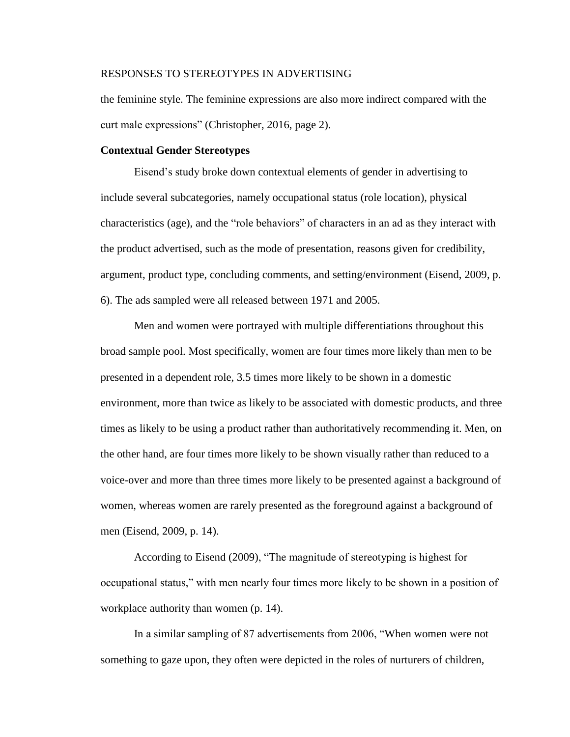the feminine style. The feminine expressions are also more indirect compared with the curt male expressions" (Christopher, 2016, page 2).

#### **Contextual Gender Stereotypes**

Eisend's study broke down contextual elements of gender in advertising to include several subcategories, namely occupational status (role location), physical characteristics (age), and the "role behaviors" of characters in an ad as they interact with the product advertised, such as the mode of presentation, reasons given for credibility, argument, product type, concluding comments, and setting/environment (Eisend, 2009, p. 6). The ads sampled were all released between 1971 and 2005.

Men and women were portrayed with multiple differentiations throughout this broad sample pool. Most specifically, women are four times more likely than men to be presented in a dependent role, 3.5 times more likely to be shown in a domestic environment, more than twice as likely to be associated with domestic products, and three times as likely to be using a product rather than authoritatively recommending it. Men, on the other hand, are four times more likely to be shown visually rather than reduced to a voice-over and more than three times more likely to be presented against a background of women, whereas women are rarely presented as the foreground against a background of men (Eisend, 2009, p. 14).

According to Eisend (2009), "The magnitude of stereotyping is highest for occupational status," with men nearly four times more likely to be shown in a position of workplace authority than women (p. 14).

In a similar sampling of 87 advertisements from 2006, "When women were not something to gaze upon, they often were depicted in the roles of nurturers of children,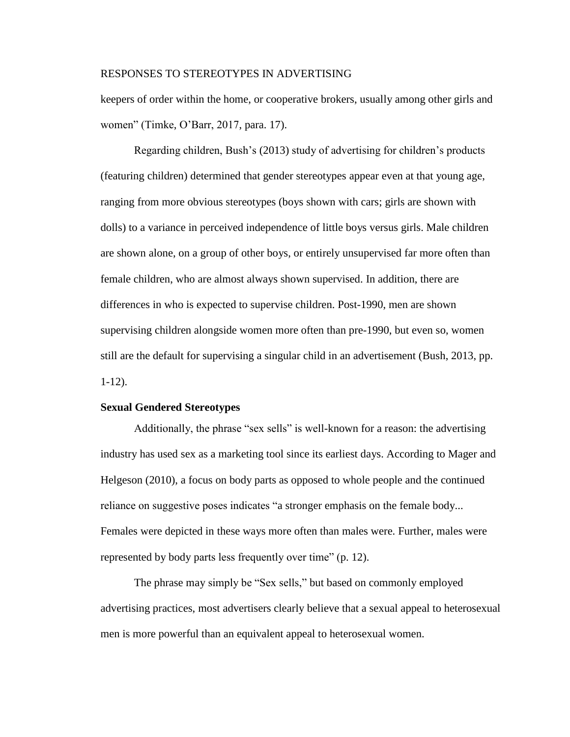keepers of order within the home, or cooperative brokers, usually among other girls and women" (Timke, O'Barr, 2017, para. 17).

Regarding children, Bush's (2013) study of advertising for children's products (featuring children) determined that gender stereotypes appear even at that young age, ranging from more obvious stereotypes (boys shown with cars; girls are shown with dolls) to a variance in perceived independence of little boys versus girls. Male children are shown alone, on a group of other boys, or entirely unsupervised far more often than female children, who are almost always shown supervised. In addition, there are differences in who is expected to supervise children. Post-1990, men are shown supervising children alongside women more often than pre-1990, but even so, women still are the default for supervising a singular child in an advertisement (Bush, 2013, pp. 1-12).

## **Sexual Gendered Stereotypes**

Additionally, the phrase "sex sells" is well-known for a reason: the advertising industry has used sex as a marketing tool since its earliest days. According to Mager and Helgeson (2010), a focus on body parts as opposed to whole people and the continued reliance on suggestive poses indicates "a stronger emphasis on the female body... Females were depicted in these ways more often than males were. Further, males were represented by body parts less frequently over time" (p. 12).

The phrase may simply be "Sex sells," but based on commonly employed advertising practices, most advertisers clearly believe that a sexual appeal to heterosexual men is more powerful than an equivalent appeal to heterosexual women.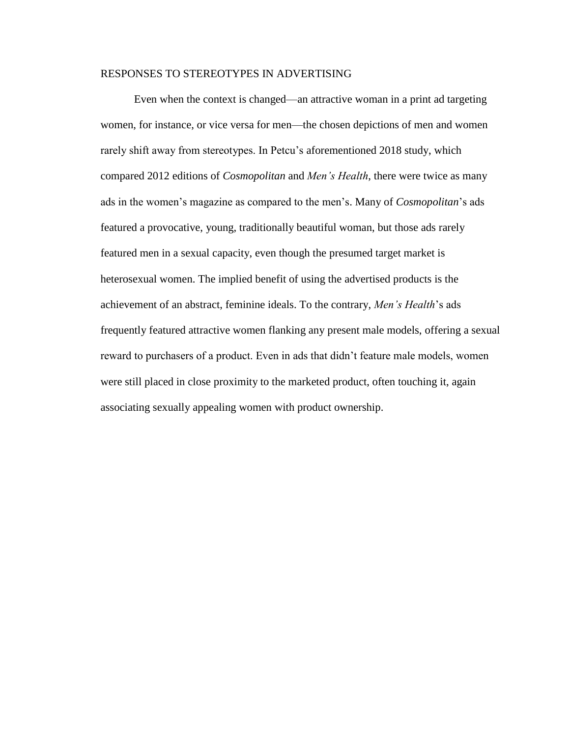Even when the context is changed—an attractive woman in a print ad targeting women, for instance, or vice versa for men—the chosen depictions of men and women rarely shift away from stereotypes. In Petcu's aforementioned 2018 study, which compared 2012 editions of *Cosmopolitan* and *Men's Health*, there were twice as many ads in the women's magazine as compared to the men's. Many of *Cosmopolitan*'s ads featured a provocative, young, traditionally beautiful woman, but those ads rarely featured men in a sexual capacity, even though the presumed target market is heterosexual women. The implied benefit of using the advertised products is the achievement of an abstract, feminine ideals. To the contrary, *Men's Health*'s ads frequently featured attractive women flanking any present male models, offering a sexual reward to purchasers of a product. Even in ads that didn't feature male models, women were still placed in close proximity to the marketed product, often touching it, again associating sexually appealing women with product ownership.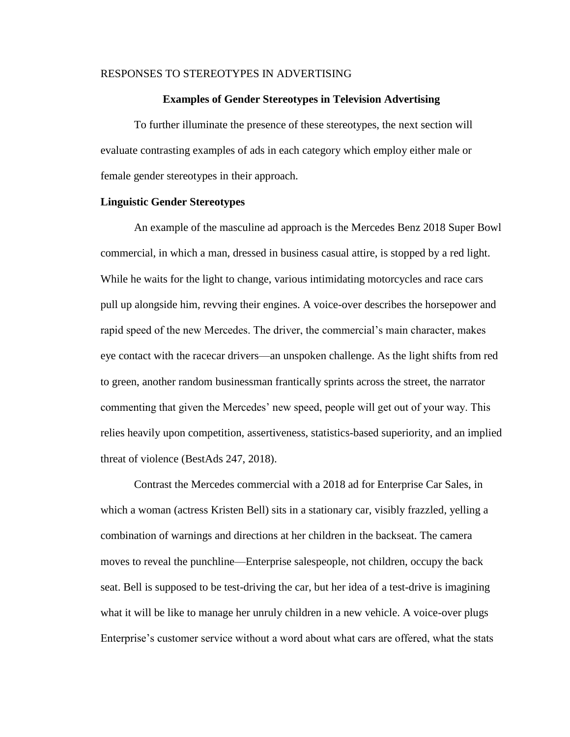#### **Examples of Gender Stereotypes in Television Advertising**

To further illuminate the presence of these stereotypes, the next section will evaluate contrasting examples of ads in each category which employ either male or female gender stereotypes in their approach.

#### **Linguistic Gender Stereotypes**

An example of the masculine ad approach is the Mercedes Benz 2018 Super Bowl commercial, in which a man, dressed in business casual attire, is stopped by a red light. While he waits for the light to change, various intimidating motorcycles and race cars pull up alongside him, revving their engines. A voice-over describes the horsepower and rapid speed of the new Mercedes. The driver, the commercial's main character, makes eye contact with the racecar drivers—an unspoken challenge. As the light shifts from red to green, another random businessman frantically sprints across the street, the narrator commenting that given the Mercedes' new speed, people will get out of your way. This relies heavily upon competition, assertiveness, statistics-based superiority, and an implied threat of violence (BestAds 247, 2018).

Contrast the Mercedes commercial with a 2018 ad for Enterprise Car Sales, in which a woman (actress Kristen Bell) sits in a stationary car, visibly frazzled, yelling a combination of warnings and directions at her children in the backseat. The camera moves to reveal the punchline—Enterprise salespeople, not children, occupy the back seat. Bell is supposed to be test-driving the car, but her idea of a test-drive is imagining what it will be like to manage her unruly children in a new vehicle. A voice-over plugs Enterprise's customer service without a word about what cars are offered, what the stats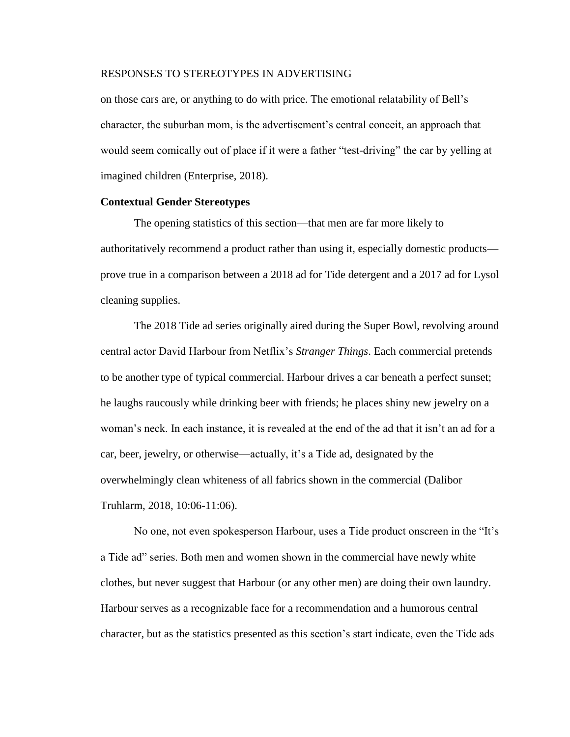on those cars are, or anything to do with price. The emotional relatability of Bell's character, the suburban mom, is the advertisement's central conceit, an approach that would seem comically out of place if it were a father "test-driving" the car by yelling at imagined children (Enterprise, 2018).

#### **Contextual Gender Stereotypes**

The opening statistics of this section—that men are far more likely to authoritatively recommend a product rather than using it, especially domestic products prove true in a comparison between a 2018 ad for Tide detergent and a 2017 ad for Lysol cleaning supplies.

The 2018 Tide ad series originally aired during the Super Bowl, revolving around central actor David Harbour from Netflix's *Stranger Things*. Each commercial pretends to be another type of typical commercial. Harbour drives a car beneath a perfect sunset; he laughs raucously while drinking beer with friends; he places shiny new jewelry on a woman's neck. In each instance, it is revealed at the end of the ad that it isn't an ad for a car, beer, jewelry, or otherwise—actually, it's a Tide ad, designated by the overwhelmingly clean whiteness of all fabrics shown in the commercial (Dalibor Truhlarm, 2018, 10:06-11:06).

No one, not even spokesperson Harbour, uses a Tide product onscreen in the "It's a Tide ad" series. Both men and women shown in the commercial have newly white clothes, but never suggest that Harbour (or any other men) are doing their own laundry. Harbour serves as a recognizable face for a recommendation and a humorous central character, but as the statistics presented as this section's start indicate, even the Tide ads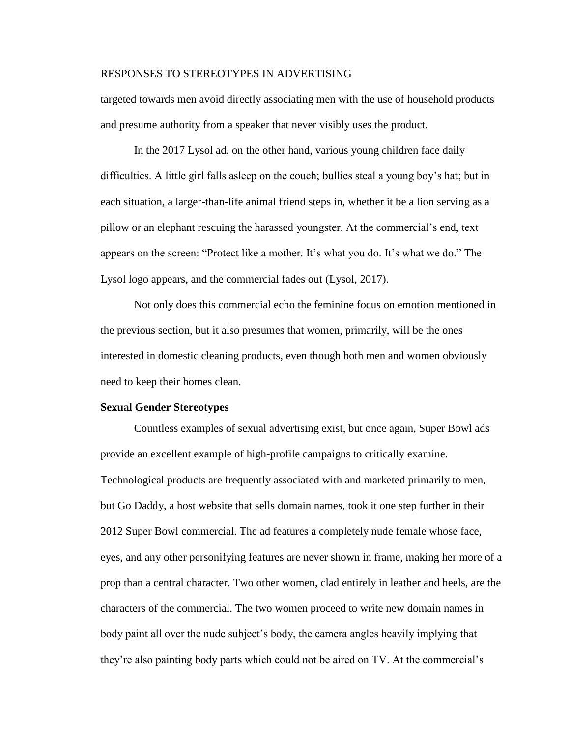targeted towards men avoid directly associating men with the use of household products and presume authority from a speaker that never visibly uses the product.

In the 2017 Lysol ad, on the other hand, various young children face daily difficulties. A little girl falls asleep on the couch; bullies steal a young boy's hat; but in each situation, a larger-than-life animal friend steps in, whether it be a lion serving as a pillow or an elephant rescuing the harassed youngster. At the commercial's end, text appears on the screen: "Protect like a mother. It's what you do. It's what we do." The Lysol logo appears, and the commercial fades out (Lysol, 2017).

Not only does this commercial echo the feminine focus on emotion mentioned in the previous section, but it also presumes that women, primarily, will be the ones interested in domestic cleaning products, even though both men and women obviously need to keep their homes clean.

#### **Sexual Gender Stereotypes**

Countless examples of sexual advertising exist, but once again, Super Bowl ads provide an excellent example of high-profile campaigns to critically examine. Technological products are frequently associated with and marketed primarily to men, but Go Daddy, a host website that sells domain names, took it one step further in their 2012 Super Bowl commercial. The ad features a completely nude female whose face, eyes, and any other personifying features are never shown in frame, making her more of a prop than a central character. Two other women, clad entirely in leather and heels, are the characters of the commercial. The two women proceed to write new domain names in body paint all over the nude subject's body, the camera angles heavily implying that they're also painting body parts which could not be aired on TV. At the commercial's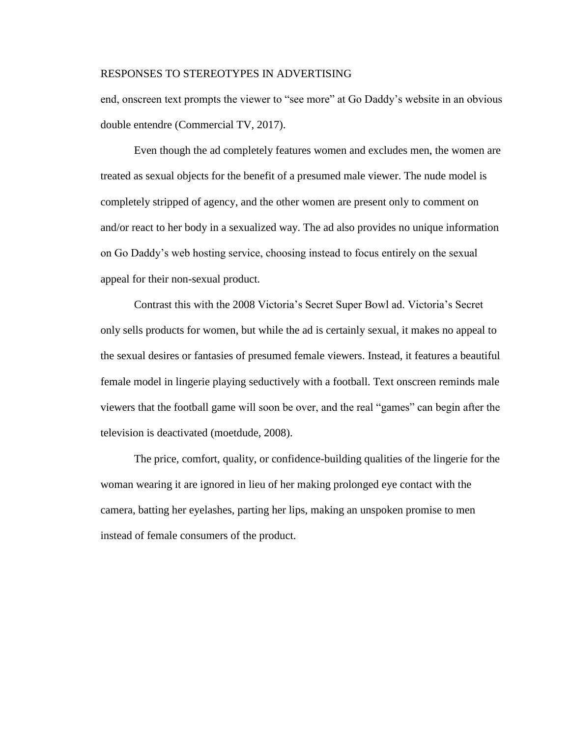end, onscreen text prompts the viewer to "see more" at Go Daddy's website in an obvious double entendre (Commercial TV, 2017).

Even though the ad completely features women and excludes men, the women are treated as sexual objects for the benefit of a presumed male viewer. The nude model is completely stripped of agency, and the other women are present only to comment on and/or react to her body in a sexualized way. The ad also provides no unique information on Go Daddy's web hosting service, choosing instead to focus entirely on the sexual appeal for their non-sexual product.

Contrast this with the 2008 Victoria's Secret Super Bowl ad. Victoria's Secret only sells products for women, but while the ad is certainly sexual, it makes no appeal to the sexual desires or fantasies of presumed female viewers. Instead, it features a beautiful female model in lingerie playing seductively with a football. Text onscreen reminds male viewers that the football game will soon be over, and the real "games" can begin after the television is deactivated (moetdude, 2008).

The price, comfort, quality, or confidence-building qualities of the lingerie for the woman wearing it are ignored in lieu of her making prolonged eye contact with the camera, batting her eyelashes, parting her lips, making an unspoken promise to men instead of female consumers of the product.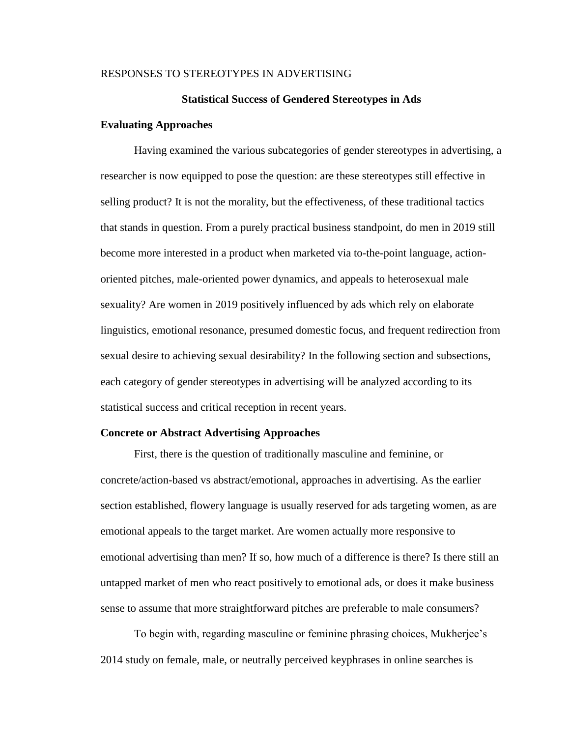#### **Statistical Success of Gendered Stereotypes in Ads**

#### **Evaluating Approaches**

Having examined the various subcategories of gender stereotypes in advertising, a researcher is now equipped to pose the question: are these stereotypes still effective in selling product? It is not the morality, but the effectiveness, of these traditional tactics that stands in question. From a purely practical business standpoint, do men in 2019 still become more interested in a product when marketed via to-the-point language, actionoriented pitches, male-oriented power dynamics, and appeals to heterosexual male sexuality? Are women in 2019 positively influenced by ads which rely on elaborate linguistics, emotional resonance, presumed domestic focus, and frequent redirection from sexual desire to achieving sexual desirability? In the following section and subsections, each category of gender stereotypes in advertising will be analyzed according to its statistical success and critical reception in recent years.

#### **Concrete or Abstract Advertising Approaches**

First, there is the question of traditionally masculine and feminine, or concrete/action-based vs abstract/emotional, approaches in advertising. As the earlier section established, flowery language is usually reserved for ads targeting women, as are emotional appeals to the target market. Are women actually more responsive to emotional advertising than men? If so, how much of a difference is there? Is there still an untapped market of men who react positively to emotional ads, or does it make business sense to assume that more straightforward pitches are preferable to male consumers?

To begin with, regarding masculine or feminine phrasing choices, Mukherjee's 2014 study on female, male, or neutrally perceived keyphrases in online searches is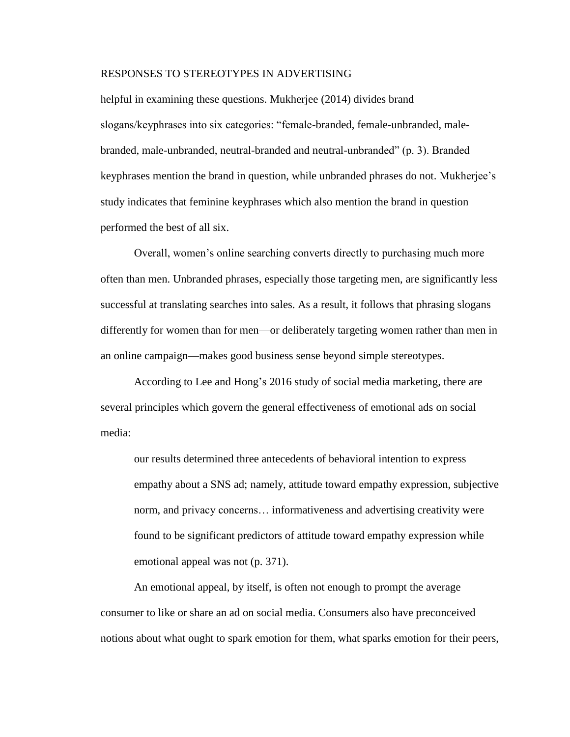helpful in examining these questions. Mukherjee (2014) divides brand slogans/keyphrases into six categories: "female-branded, female-unbranded, malebranded, male-unbranded, neutral-branded and neutral-unbranded" (p. 3). Branded keyphrases mention the brand in question, while unbranded phrases do not. Mukherjee's study indicates that feminine keyphrases which also mention the brand in question performed the best of all six.

Overall, women's online searching converts directly to purchasing much more often than men. Unbranded phrases, especially those targeting men, are significantly less successful at translating searches into sales. As a result, it follows that phrasing slogans differently for women than for men—or deliberately targeting women rather than men in an online campaign—makes good business sense beyond simple stereotypes.

According to Lee and Hong's 2016 study of social media marketing, there are several principles which govern the general effectiveness of emotional ads on social media:

our results determined three antecedents of behavioral intention to express empathy about a SNS ad; namely, attitude toward empathy expression, subjective norm, and privacy concerns… informativeness and advertising creativity were found to be significant predictors of attitude toward empathy expression while emotional appeal was not (p. 371).

An emotional appeal, by itself, is often not enough to prompt the average consumer to like or share an ad on social media. Consumers also have preconceived notions about what ought to spark emotion for them, what sparks emotion for their peers,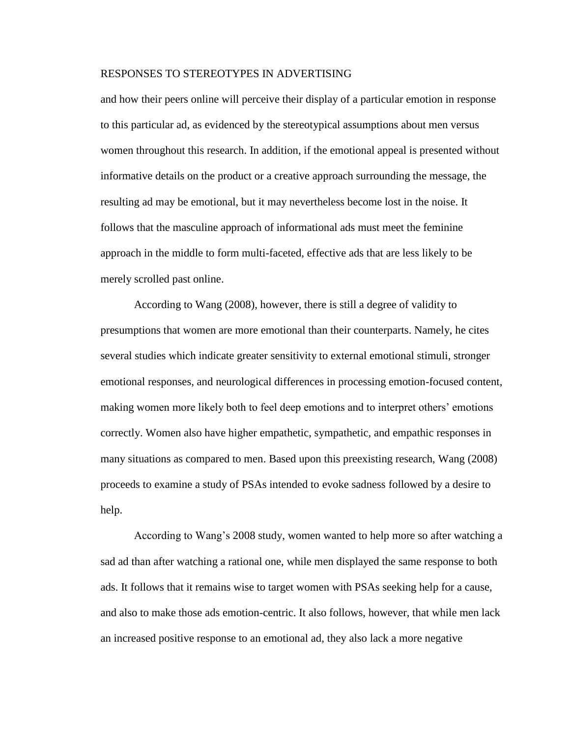and how their peers online will perceive their display of a particular emotion in response to this particular ad, as evidenced by the stereotypical assumptions about men versus women throughout this research. In addition, if the emotional appeal is presented without informative details on the product or a creative approach surrounding the message, the resulting ad may be emotional, but it may nevertheless become lost in the noise. It follows that the masculine approach of informational ads must meet the feminine approach in the middle to form multi-faceted, effective ads that are less likely to be merely scrolled past online.

According to Wang (2008), however, there is still a degree of validity to presumptions that women are more emotional than their counterparts. Namely, he cites several studies which indicate greater sensitivity to external emotional stimuli, stronger emotional responses, and neurological differences in processing emotion-focused content, making women more likely both to feel deep emotions and to interpret others' emotions correctly. Women also have higher empathetic, sympathetic, and empathic responses in many situations as compared to men. Based upon this preexisting research, Wang (2008) proceeds to examine a study of PSAs intended to evoke sadness followed by a desire to help.

According to Wang's 2008 study, women wanted to help more so after watching a sad ad than after watching a rational one, while men displayed the same response to both ads. It follows that it remains wise to target women with PSAs seeking help for a cause, and also to make those ads emotion-centric. It also follows, however, that while men lack an increased positive response to an emotional ad, they also lack a more negative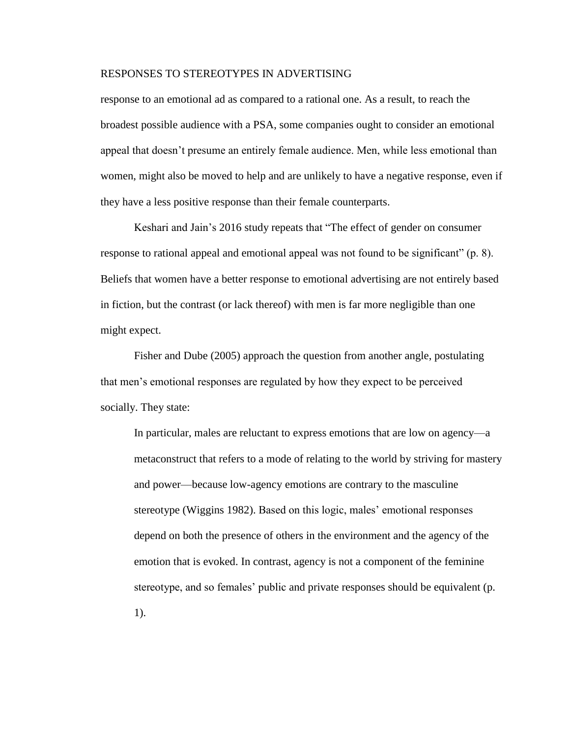response to an emotional ad as compared to a rational one. As a result, to reach the broadest possible audience with a PSA, some companies ought to consider an emotional appeal that doesn't presume an entirely female audience. Men, while less emotional than women, might also be moved to help and are unlikely to have a negative response, even if they have a less positive response than their female counterparts.

Keshari and Jain's 2016 study repeats that "The effect of gender on consumer response to rational appeal and emotional appeal was not found to be significant" (p. 8). Beliefs that women have a better response to emotional advertising are not entirely based in fiction, but the contrast (or lack thereof) with men is far more negligible than one might expect.

Fisher and Dube (2005) approach the question from another angle, postulating that men's emotional responses are regulated by how they expect to be perceived socially. They state:

In particular, males are reluctant to express emotions that are low on agency—a metaconstruct that refers to a mode of relating to the world by striving for mastery and power—because low-agency emotions are contrary to the masculine stereotype (Wiggins 1982). Based on this logic, males' emotional responses depend on both the presence of others in the environment and the agency of the emotion that is evoked. In contrast, agency is not a component of the feminine stereotype, and so females' public and private responses should be equivalent (p. 1).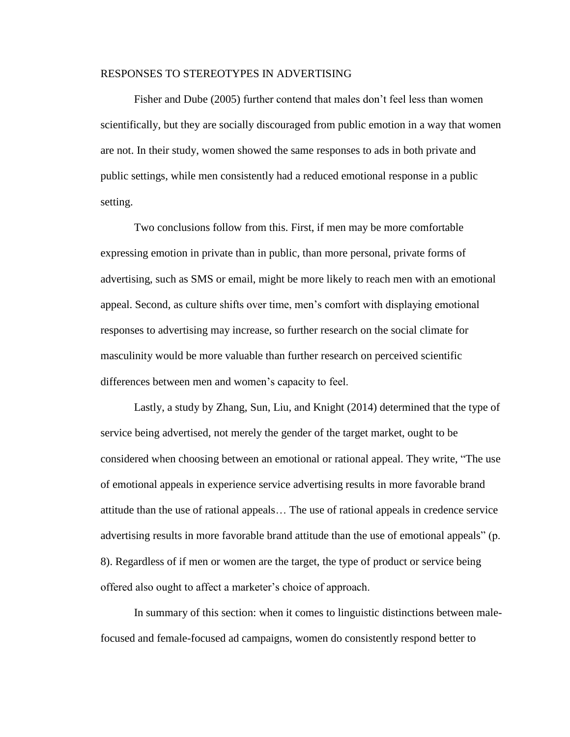Fisher and Dube (2005) further contend that males don't feel less than women scientifically, but they are socially discouraged from public emotion in a way that women are not. In their study, women showed the same responses to ads in both private and public settings, while men consistently had a reduced emotional response in a public setting.

Two conclusions follow from this. First, if men may be more comfortable expressing emotion in private than in public, than more personal, private forms of advertising, such as SMS or email, might be more likely to reach men with an emotional appeal. Second, as culture shifts over time, men's comfort with displaying emotional responses to advertising may increase, so further research on the social climate for masculinity would be more valuable than further research on perceived scientific differences between men and women's capacity to feel.

Lastly, a study by Zhang, Sun, Liu, and Knight (2014) determined that the type of service being advertised, not merely the gender of the target market, ought to be considered when choosing between an emotional or rational appeal. They write, "The use of emotional appeals in experience service advertising results in more favorable brand attitude than the use of rational appeals… The use of rational appeals in credence service advertising results in more favorable brand attitude than the use of emotional appeals" (p. 8). Regardless of if men or women are the target, the type of product or service being offered also ought to affect a marketer's choice of approach.

In summary of this section: when it comes to linguistic distinctions between malefocused and female-focused ad campaigns, women do consistently respond better to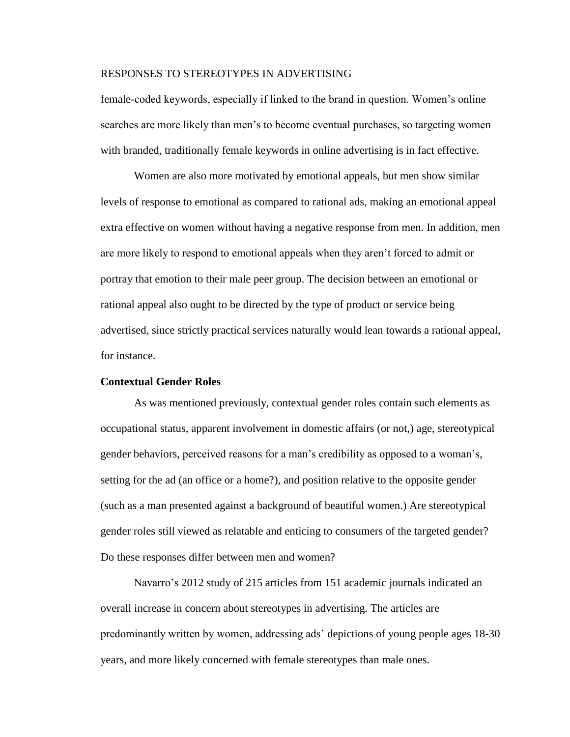female-coded keywords, especially if linked to the brand in question. Women's online searches are more likely than men's to become eventual purchases, so targeting women with branded, traditionally female keywords in online advertising is in fact effective.

Women are also more motivated by emotional appeals, but men show similar levels of response to emotional as compared to rational ads, making an emotional appeal extra effective on women without having a negative response from men. In addition, men are more likely to respond to emotional appeals when they aren't forced to admit or portray that emotion to their male peer group. The decision between an emotional or rational appeal also ought to be directed by the type of product or service being advertised, since strictly practical services naturally would lean towards a rational appeal, for instance.

## **Contextual Gender Roles**

As was mentioned previously, contextual gender roles contain such elements as occupational status, apparent involvement in domestic affairs (or not,) age, stereotypical gender behaviors, perceived reasons for a man's credibility as opposed to a woman's, setting for the ad (an office or a home?), and position relative to the opposite gender (such as a man presented against a background of beautiful women.) Are stereotypical gender roles still viewed as relatable and enticing to consumers of the targeted gender? Do these responses differ between men and women?

Navarro's 2012 study of 215 articles from 151 academic journals indicated an overall increase in concern about stereotypes in advertising. The articles are predominantly written by women, addressing ads' depictions of young people ages 18-30 years, and more likely concerned with female stereotypes than male ones.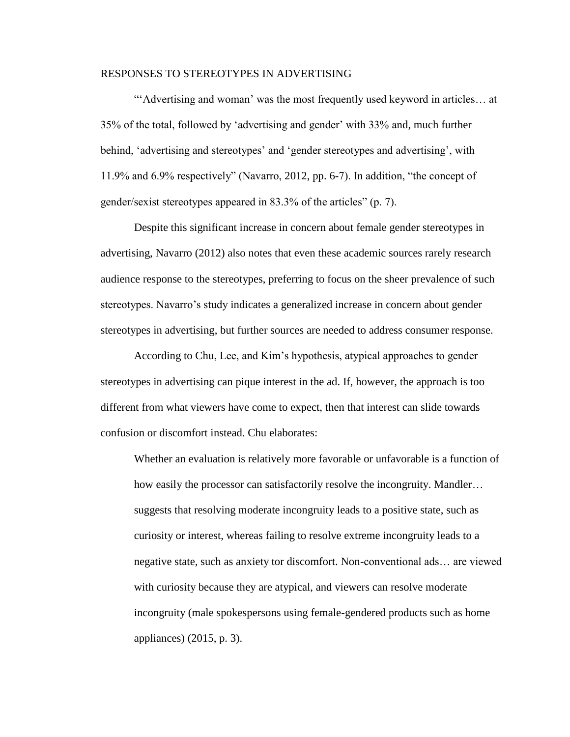"'Advertising and woman' was the most frequently used keyword in articles... at 35% of the total, followed by 'advertising and gender' with 33% and, much further behind, 'advertising and stereotypes' and 'gender stereotypes and advertising', with 11.9% and 6.9% respectively" (Navarro, 2012, pp. 6-7). In addition, "the concept of gender/sexist stereotypes appeared in 83.3% of the articles" (p. 7).

Despite this significant increase in concern about female gender stereotypes in advertising, Navarro (2012) also notes that even these academic sources rarely research audience response to the stereotypes, preferring to focus on the sheer prevalence of such stereotypes. Navarro's study indicates a generalized increase in concern about gender stereotypes in advertising, but further sources are needed to address consumer response.

According to Chu, Lee, and Kim's hypothesis, atypical approaches to gender stereotypes in advertising can pique interest in the ad. If, however, the approach is too different from what viewers have come to expect, then that interest can slide towards confusion or discomfort instead. Chu elaborates:

Whether an evaluation is relatively more favorable or unfavorable is a function of how easily the processor can satisfactorily resolve the incongruity. Mandler… suggests that resolving moderate incongruity leads to a positive state, such as curiosity or interest, whereas failing to resolve extreme incongruity leads to a negative state, such as anxiety tor discomfort. Non-conventional ads… are viewed with curiosity because they are atypical, and viewers can resolve moderate incongruity (male spokespersons using female-gendered products such as home appliances) (2015, p. 3).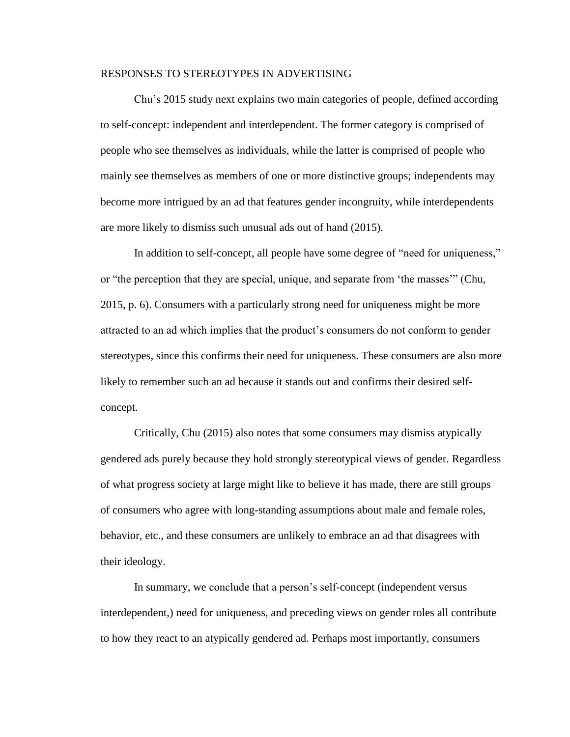Chu's 2015 study next explains two main categories of people, defined according to self-concept: independent and interdependent. The former category is comprised of people who see themselves as individuals, while the latter is comprised of people who mainly see themselves as members of one or more distinctive groups; independents may become more intrigued by an ad that features gender incongruity, while interdependents are more likely to dismiss such unusual ads out of hand (2015).

In addition to self-concept, all people have some degree of "need for uniqueness," or "the perception that they are special, unique, and separate from 'the masses'" (Chu, 2015, p. 6). Consumers with a particularly strong need for uniqueness might be more attracted to an ad which implies that the product's consumers do not conform to gender stereotypes, since this confirms their need for uniqueness. These consumers are also more likely to remember such an ad because it stands out and confirms their desired selfconcept.

Critically, Chu (2015) also notes that some consumers may dismiss atypically gendered ads purely because they hold strongly stereotypical views of gender. Regardless of what progress society at large might like to believe it has made, there are still groups of consumers who agree with long-standing assumptions about male and female roles, behavior, etc., and these consumers are unlikely to embrace an ad that disagrees with their ideology.

In summary, we conclude that a person's self-concept (independent versus interdependent,) need for uniqueness, and preceding views on gender roles all contribute to how they react to an atypically gendered ad. Perhaps most importantly, consumers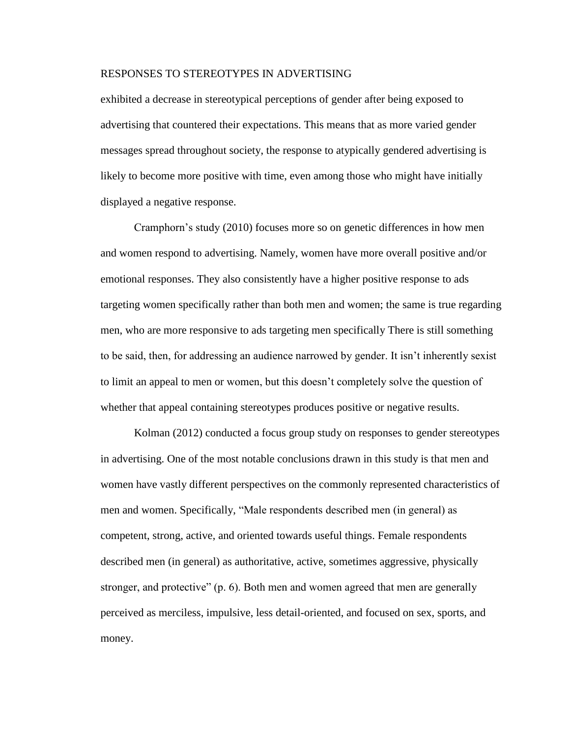exhibited a decrease in stereotypical perceptions of gender after being exposed to advertising that countered their expectations. This means that as more varied gender messages spread throughout society, the response to atypically gendered advertising is likely to become more positive with time, even among those who might have initially displayed a negative response.

Cramphorn's study (2010) focuses more so on genetic differences in how men and women respond to advertising. Namely, women have more overall positive and/or emotional responses. They also consistently have a higher positive response to ads targeting women specifically rather than both men and women; the same is true regarding men, who are more responsive to ads targeting men specifically There is still something to be said, then, for addressing an audience narrowed by gender. It isn't inherently sexist to limit an appeal to men or women, but this doesn't completely solve the question of whether that appeal containing stereotypes produces positive or negative results.

Kolman (2012) conducted a focus group study on responses to gender stereotypes in advertising. One of the most notable conclusions drawn in this study is that men and women have vastly different perspectives on the commonly represented characteristics of men and women. Specifically, "Male respondents described men (in general) as competent, strong, active, and oriented towards useful things. Female respondents described men (in general) as authoritative, active, sometimes aggressive, physically stronger, and protective" (p. 6). Both men and women agreed that men are generally perceived as merciless, impulsive, less detail-oriented, and focused on sex, sports, and money.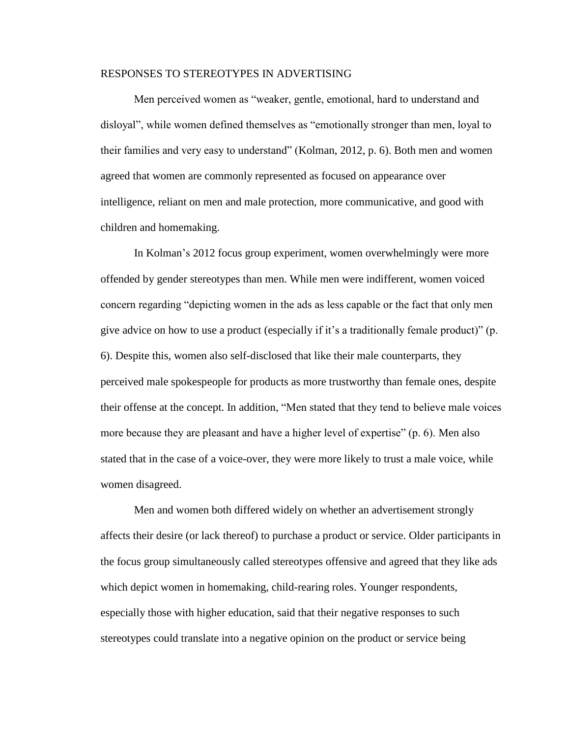Men perceived women as "weaker, gentle, emotional, hard to understand and disloyal", while women defined themselves as "emotionally stronger than men, loyal to their families and very easy to understand" (Kolman, 2012, p. 6). Both men and women agreed that women are commonly represented as focused on appearance over intelligence, reliant on men and male protection, more communicative, and good with children and homemaking.

In Kolman's 2012 focus group experiment, women overwhelmingly were more offended by gender stereotypes than men. While men were indifferent, women voiced concern regarding "depicting women in the ads as less capable or the fact that only men give advice on how to use a product (especially if it's a traditionally female product)" (p. 6). Despite this, women also self-disclosed that like their male counterparts, they perceived male spokespeople for products as more trustworthy than female ones, despite their offense at the concept. In addition, "Men stated that they tend to believe male voices more because they are pleasant and have a higher level of expertise" (p. 6). Men also stated that in the case of a voice-over, they were more likely to trust a male voice, while women disagreed.

Men and women both differed widely on whether an advertisement strongly affects their desire (or lack thereof) to purchase a product or service. Older participants in the focus group simultaneously called stereotypes offensive and agreed that they like ads which depict women in homemaking, child-rearing roles. Younger respondents, especially those with higher education, said that their negative responses to such stereotypes could translate into a negative opinion on the product or service being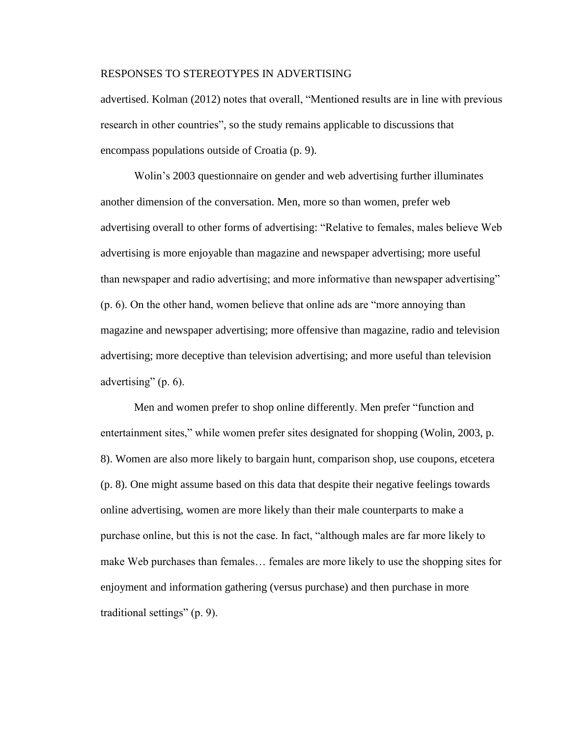advertised. Kolman (2012) notes that overall, "Mentioned results are in line with previous research in other countries", so the study remains applicable to discussions that encompass populations outside of Croatia (p. 9).

Wolin's 2003 questionnaire on gender and web advertising further illuminates another dimension of the conversation. Men, more so than women, prefer web advertising overall to other forms of advertising: "Relative to females, males believe Web advertising is more enjoyable than magazine and newspaper advertising; more useful than newspaper and radio advertising; and more informative than newspaper advertising" (p. 6). On the other hand, women believe that online ads are "more annoying than magazine and newspaper advertising; more offensive than magazine, radio and television advertising; more deceptive than television advertising; and more useful than television advertising" (p. 6).

Men and women prefer to shop online differently. Men prefer "function and entertainment sites," while women prefer sites designated for shopping (Wolin, 2003, p. 8). Women are also more likely to bargain hunt, comparison shop, use coupons, etcetera (p. 8). One might assume based on this data that despite their negative feelings towards online advertising, women are more likely than their male counterparts to make a purchase online, but this is not the case. In fact, "although males are far more likely to make Web purchases than females… females are more likely to use the shopping sites for enjoyment and information gathering (versus purchase) and then purchase in more traditional settings" (p. 9).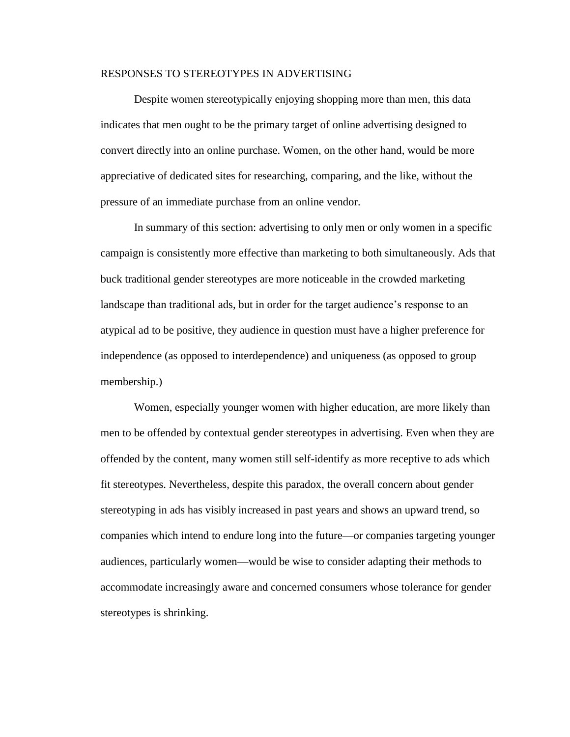Despite women stereotypically enjoying shopping more than men, this data indicates that men ought to be the primary target of online advertising designed to convert directly into an online purchase. Women, on the other hand, would be more appreciative of dedicated sites for researching, comparing, and the like, without the pressure of an immediate purchase from an online vendor.

In summary of this section: advertising to only men or only women in a specific campaign is consistently more effective than marketing to both simultaneously. Ads that buck traditional gender stereotypes are more noticeable in the crowded marketing landscape than traditional ads, but in order for the target audience's response to an atypical ad to be positive, they audience in question must have a higher preference for independence (as opposed to interdependence) and uniqueness (as opposed to group membership.)

Women, especially younger women with higher education, are more likely than men to be offended by contextual gender stereotypes in advertising. Even when they are offended by the content, many women still self-identify as more receptive to ads which fit stereotypes. Nevertheless, despite this paradox, the overall concern about gender stereotyping in ads has visibly increased in past years and shows an upward trend, so companies which intend to endure long into the future—or companies targeting younger audiences, particularly women—would be wise to consider adapting their methods to accommodate increasingly aware and concerned consumers whose tolerance for gender stereotypes is shrinking.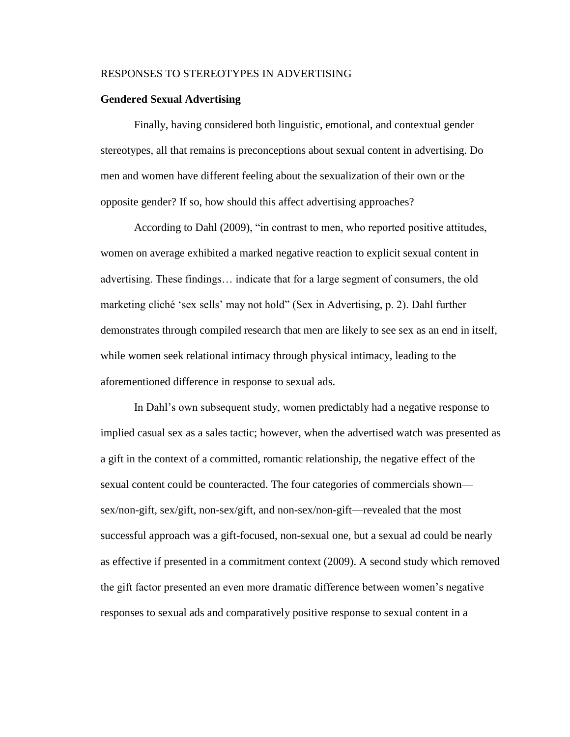#### **Gendered Sexual Advertising**

Finally, having considered both linguistic, emotional, and contextual gender stereotypes, all that remains is preconceptions about sexual content in advertising. Do men and women have different feeling about the sexualization of their own or the opposite gender? If so, how should this affect advertising approaches?

According to Dahl (2009), "in contrast to men, who reported positive attitudes, women on average exhibited a marked negative reaction to explicit sexual content in advertising. These findings… indicate that for a large segment of consumers, the old marketing cliché 'sex sells' may not hold" (Sex in Advertising, p. 2). Dahl further demonstrates through compiled research that men are likely to see sex as an end in itself, while women seek relational intimacy through physical intimacy, leading to the aforementioned difference in response to sexual ads.

In Dahl's own subsequent study, women predictably had a negative response to implied casual sex as a sales tactic; however, when the advertised watch was presented as a gift in the context of a committed, romantic relationship, the negative effect of the sexual content could be counteracted. The four categories of commercials shown sex/non-gift, sex/gift, non-sex/gift, and non-sex/non-gift—revealed that the most successful approach was a gift-focused, non-sexual one, but a sexual ad could be nearly as effective if presented in a commitment context (2009). A second study which removed the gift factor presented an even more dramatic difference between women's negative responses to sexual ads and comparatively positive response to sexual content in a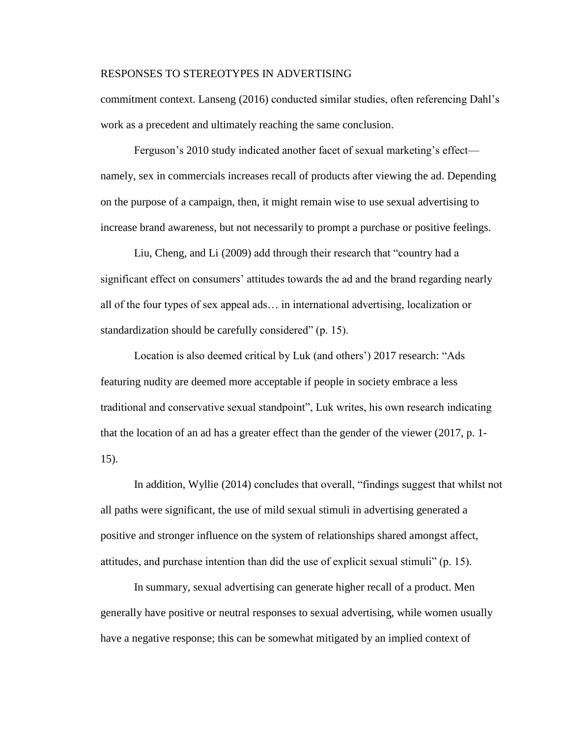commitment context. Lanseng (2016) conducted similar studies, often referencing Dahl's work as a precedent and ultimately reaching the same conclusion.

Ferguson's 2010 study indicated another facet of sexual marketing's effect namely, sex in commercials increases recall of products after viewing the ad. Depending on the purpose of a campaign, then, it might remain wise to use sexual advertising to increase brand awareness, but not necessarily to prompt a purchase or positive feelings.

Liu, Cheng, and Li (2009) add through their research that "country had a significant effect on consumers' attitudes towards the ad and the brand regarding nearly all of the four types of sex appeal ads… in international advertising, localization or standardization should be carefully considered" (p. 15).

Location is also deemed critical by Luk (and others') 2017 research: "Ads featuring nudity are deemed more acceptable if people in society embrace a less traditional and conservative sexual standpoint", Luk writes, his own research indicating that the location of an ad has a greater effect than the gender of the viewer (2017, p. 1- 15).

In addition, Wyllie (2014) concludes that overall, "findings suggest that whilst not all paths were significant, the use of mild sexual stimuli in advertising generated a positive and stronger influence on the system of relationships shared amongst affect, attitudes, and purchase intention than did the use of explicit sexual stimuli" (p. 15).

In summary, sexual advertising can generate higher recall of a product. Men generally have positive or neutral responses to sexual advertising, while women usually have a negative response; this can be somewhat mitigated by an implied context of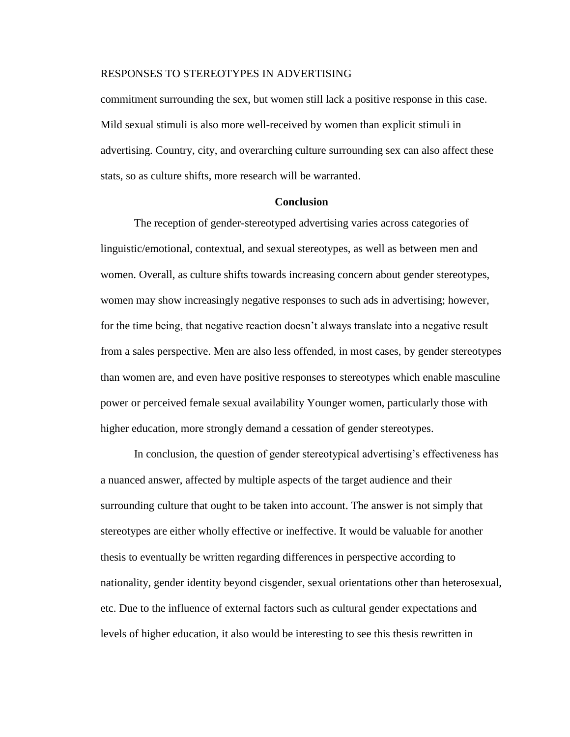commitment surrounding the sex, but women still lack a positive response in this case. Mild sexual stimuli is also more well-received by women than explicit stimuli in advertising. Country, city, and overarching culture surrounding sex can also affect these stats, so as culture shifts, more research will be warranted.

#### **Conclusion**

The reception of gender-stereotyped advertising varies across categories of linguistic/emotional, contextual, and sexual stereotypes, as well as between men and women. Overall, as culture shifts towards increasing concern about gender stereotypes, women may show increasingly negative responses to such ads in advertising; however, for the time being, that negative reaction doesn't always translate into a negative result from a sales perspective. Men are also less offended, in most cases, by gender stereotypes than women are, and even have positive responses to stereotypes which enable masculine power or perceived female sexual availability Younger women, particularly those with higher education, more strongly demand a cessation of gender stereotypes.

In conclusion, the question of gender stereotypical advertising's effectiveness has a nuanced answer, affected by multiple aspects of the target audience and their surrounding culture that ought to be taken into account. The answer is not simply that stereotypes are either wholly effective or ineffective. It would be valuable for another thesis to eventually be written regarding differences in perspective according to nationality, gender identity beyond cisgender, sexual orientations other than heterosexual, etc. Due to the influence of external factors such as cultural gender expectations and levels of higher education, it also would be interesting to see this thesis rewritten in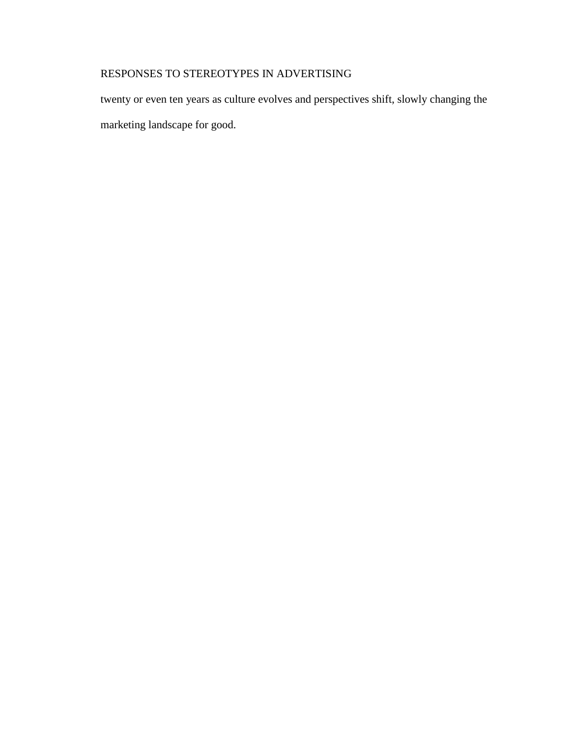twenty or even ten years as culture evolves and perspectives shift, slowly changing the marketing landscape for good.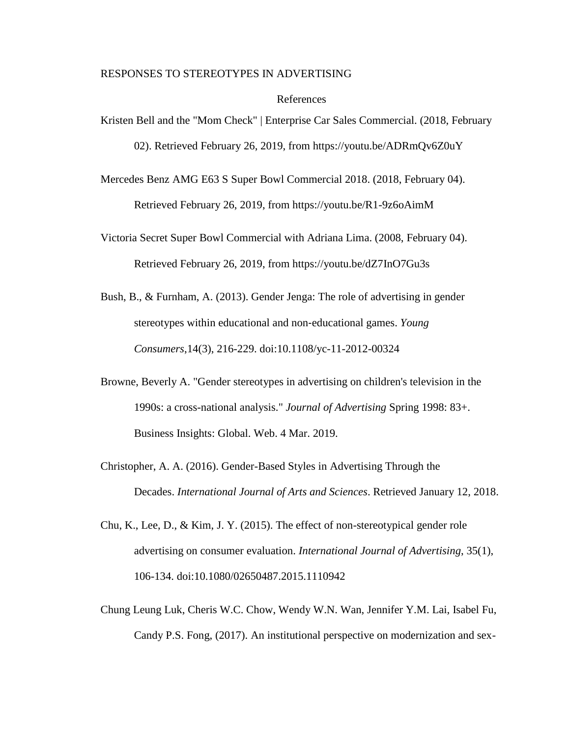#### References

Kristen Bell and the "Mom Check" | Enterprise Car Sales Commercial. (2018, February 02). Retrieved February 26, 2019, from https://youtu.be/ADRmQv6Z0uY

Mercedes Benz AMG E63 S Super Bowl Commercial 2018. (2018, February 04). Retrieved February 26, 2019, from https://youtu.be/R1-9z6oAimM

Victoria Secret Super Bowl Commercial with Adriana Lima. (2008, February 04). Retrieved February 26, 2019, from https://youtu.be/dZ7InO7Gu3s

- Bush, B., & Furnham, A. (2013). Gender Jenga: The role of advertising in gender stereotypes within educational and non‐educational games. *Young Consumers*,14(3), 216-229. doi:10.1108/yc-11-2012-00324
- Browne, Beverly A. "Gender stereotypes in advertising on children's television in the 1990s: a cross-national analysis." *Journal of Advertising* Spring 1998: 83+. Business Insights: Global. Web. 4 Mar. 2019.
- Christopher, A. A. (2016). Gender-Based Styles in Advertising Through the Decades. *International Journal of Arts and Sciences*. Retrieved January 12, 2018.
- Chu, K., Lee, D., & Kim, J. Y. (2015). The effect of non-stereotypical gender role advertising on consumer evaluation. *International Journal of Advertising*, 35(1), 106-134. doi:10.1080/02650487.2015.1110942
- Chung Leung Luk, Cheris W.C. Chow, Wendy W.N. Wan, Jennifer Y.M. Lai, Isabel Fu, Candy P.S. Fong, (2017). An institutional perspective on modernization and sex-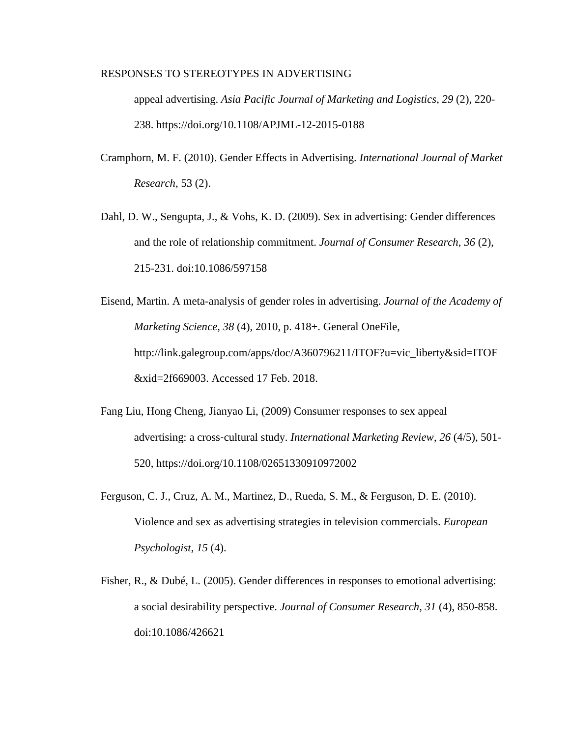appeal advertising. *Asia Pacific Journal of Marketing and Logistics*, *29* (2), 220- 238. https://doi.org/10.1108/APJML-12-2015-0188

- Cramphorn, M. F. (2010). Gender Effects in Advertising. *International Journal of Market Research*, 53 (2).
- Dahl, D. W., Sengupta, J., & Vohs, K. D. (2009). Sex in advertising: Gender differences and the role of relationship commitment. *Journal of Consumer Research*, *36* (2), 215-231. doi:10.1086/597158
- Eisend, Martin. A meta-analysis of gender roles in advertising. *Journal of the Academy of Marketing Science*, *38* (4), 2010, p. 418+. General OneFile, http://link.galegroup.com/apps/doc/A360796211/ITOF?u=vic\_liberty&sid=ITOF &xid=2f669003. Accessed 17 Feb. 2018.
- Fang Liu, Hong Cheng, Jianyao Li, (2009) Consumer responses to sex appeal advertising: a cross‐cultural study. *International Marketing Review*, *26* (4/5), 501- 520, https://doi.org/10.1108/02651330910972002
- Ferguson, C. J., Cruz, A. M., Martinez, D., Rueda, S. M., & Ferguson, D. E. (2010). Violence and sex as advertising strategies in television commercials. *European Psychologist*, *15* (4).
- Fisher, R., & Dubé, L. (2005). Gender differences in responses to emotional advertising: a social desirability perspective. *Journal of Consumer Research*, *31* (4), 850-858. doi:10.1086/426621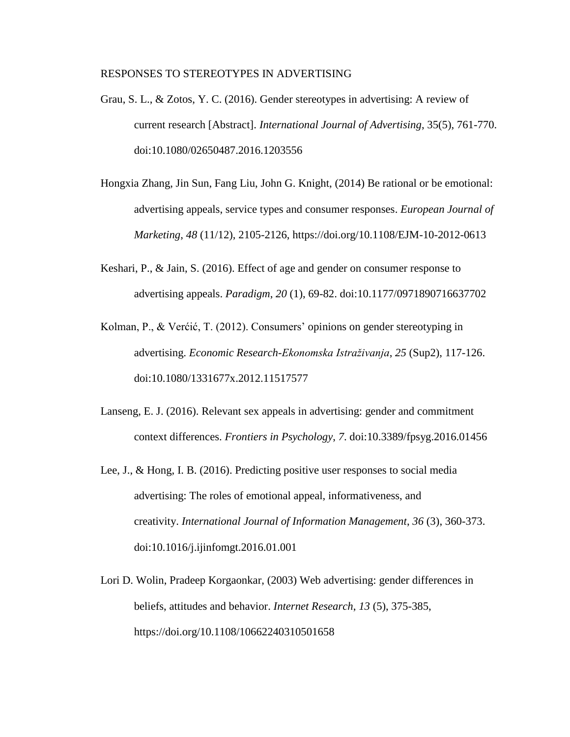- Grau, S. L., & Zotos, Y. C. (2016). Gender stereotypes in advertising: A review of current research [Abstract]. *International Journal of Advertising*, 35(5), 761-770. doi:10.1080/02650487.2016.1203556
- Hongxia Zhang, Jin Sun, Fang Liu, John G. Knight, (2014) Be rational or be emotional: advertising appeals, service types and consumer responses. *European Journal of Marketing*, *48* (11/12), 2105-2126, https://doi.org/10.1108/EJM-10-2012-0613
- Keshari, P., & Jain, S. (2016). Effect of age and gender on consumer response to advertising appeals. *Paradigm*, *20* (1), 69-82. doi:10.1177/0971890716637702
- Kolman, P., & Verćić, T. (2012). Consumers' opinions on gender stereotyping in advertising. *Economic Research-Ekonomska Istraživanja*, *25* (Sup2), 117-126. doi:10.1080/1331677x.2012.11517577
- Lanseng, E. J. (2016). Relevant sex appeals in advertising: gender and commitment context differences. *Frontiers in Psychology*, *7*. doi:10.3389/fpsyg.2016.01456
- Lee, J., & Hong, I. B. (2016). Predicting positive user responses to social media advertising: The roles of emotional appeal, informativeness, and creativity. *International Journal of Information Management*, *36* (3), 360-373. doi:10.1016/j.ijinfomgt.2016.01.001
- Lori D. Wolin, Pradeep Korgaonkar, (2003) Web advertising: gender differences in beliefs, attitudes and behavior. *Internet Research*, *13* (5), 375-385, https://doi.org/10.1108/10662240310501658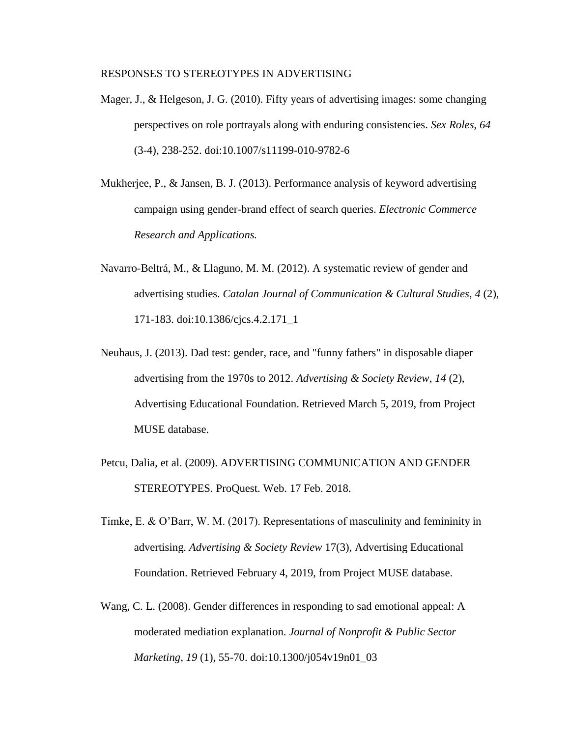- Mager, J., & Helgeson, J. G. (2010). Fifty years of advertising images: some changing perspectives on role portrayals along with enduring consistencies. *Sex Roles*, *64* (3-4), 238-252. doi:10.1007/s11199-010-9782-6
- Mukherjee, P., & Jansen, B. J. (2013). Performance analysis of keyword advertising campaign using gender-brand effect of search queries. *Electronic Commerce Research and Applications.*
- Navarro-Beltrá, M., & Llaguno, M. M. (2012). A systematic review of gender and advertising studies. *Catalan Journal of Communication & Cultural Studies*, *4* (2), 171-183. doi:10.1386/cjcs.4.2.171\_1
- Neuhaus, J. (2013). Dad test: gender, race, and "funny fathers" in disposable diaper advertising from the 1970s to 2012. *Advertising & Society Review*, *14* (2), Advertising Educational Foundation. Retrieved March 5, 2019, from Project MUSE database.
- Petcu, Dalia, et al. (2009). ADVERTISING COMMUNICATION AND GENDER STEREOTYPES. ProQuest. Web. 17 Feb. 2018.
- Timke, E. & O'Barr, W. M. (2017). Representations of masculinity and femininity in advertising. *Advertising & Society Review* 17(3), Advertising Educational Foundation. Retrieved February 4, 2019, from Project MUSE database.
- Wang, C. L. (2008). Gender differences in responding to sad emotional appeal: A moderated mediation explanation. *Journal of Nonprofit & Public Sector Marketing*, *19* (1), 55-70. doi:10.1300/j054v19n01\_03